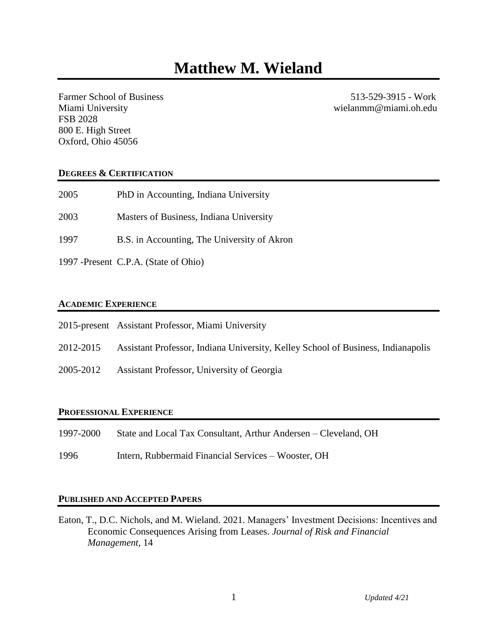Farmer School of Business 513-529-3915 - Work Miami University wielanmm@miami.oh.edu FSB 2028 800 E. High Street Oxford, Ohio 45056

# **DEGREES & CERTIFICATION**

| 2005 | PhD in Accounting, Indiana University       |
|------|---------------------------------------------|
| 2003 | Masters of Business, Indiana University     |
| 1997 | B.S. in Accounting, The University of Akron |

1997 -Present C.P.A. (State of Ohio)

# **ACADEMIC EXPERIENCE**

| 2015-present Assistant Professor, Miami University |  |  |  |  |
|----------------------------------------------------|--|--|--|--|
|----------------------------------------------------|--|--|--|--|

- 2012-2015 Assistant Professor, Indiana University, Kelley School of Business, Indianapolis
- 2005-2012 Assistant Professor, University of Georgia

# **PROFESSIONAL EXPERIENCE**

- 1997-2000 State and Local Tax Consultant, Arthur Andersen Cleveland, OH
- 1996 Intern, Rubbermaid Financial Services Wooster, OH

# **PUBLISHED AND ACCEPTED PAPERS**

Eaton, T., D.C. Nichols, and M. Wieland. 2021. Managers' Investment Decisions: Incentives and Economic Consequences Arising from Leases. *Journal of Risk and Financial Management,* 14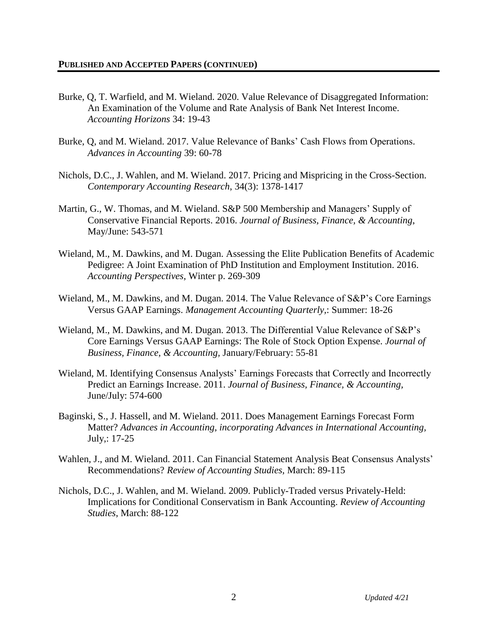- Burke, Q, T. Warfield, and M. Wieland. 2020. Value Relevance of Disaggregated Information: An Examination of the Volume and Rate Analysis of Bank Net Interest Income. *Accounting Horizons* 34: 19-43
- Burke, Q, and M. Wieland. 2017. Value Relevance of Banks' Cash Flows from Operations. *Advances in Accounting* 39: 60-78
- Nichols, D.C., J. Wahlen, and M. Wieland. 2017. Pricing and Mispricing in the Cross-Section. *Contemporary Accounting Research*, 34(3): 1378-1417
- Martin, G., W. Thomas, and M. Wieland. S&P 500 Membership and Managers' Supply of Conservative Financial Reports. 2016. *Journal of Business, Finance, & Accounting*, May/June: 543-571
- Wieland, M., M. Dawkins, and M. Dugan. Assessing the Elite Publication Benefits of Academic Pedigree: A Joint Examination of PhD Institution and Employment Institution. 2016. *Accounting Perspectives*, Winter p. 269-309
- Wieland, M., M. Dawkins, and M. Dugan. 2014. The Value Relevance of S&P's Core Earnings Versus GAAP Earnings. *Management Accounting Quarterly,*: Summer: 18-26
- Wieland, M., M. Dawkins, and M. Dugan. 2013. The Differential Value Relevance of S&P's Core Earnings Versus GAAP Earnings: The Role of Stock Option Expense. *Journal of Business, Finance, & Accounting,* January/February: 55-81
- Wieland, M. Identifying Consensus Analysts' Earnings Forecasts that Correctly and Incorrectly Predict an Earnings Increase. 2011. *Journal of Business, Finance, & Accounting,* June/July: 574-600
- Baginski, S., J. Hassell, and M. Wieland. 2011. Does Management Earnings Forecast Form Matter? *Advances in Accounting, incorporating Advances in International Accounting,* July,: 17-25
- Wahlen, J., and M. Wieland. 2011. Can Financial Statement Analysis Beat Consensus Analysts' Recommendations? *Review of Accounting Studies,* March: 89-115
- Nichols, D.C., J. Wahlen, and M. Wieland. 2009. Publicly-Traded versus Privately-Held: Implications for Conditional Conservatism in Bank Accounting. *Review of Accounting Studies*, March: 88-122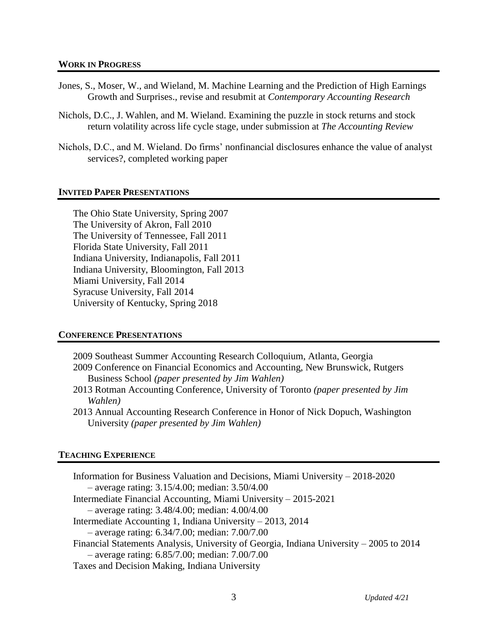#### **WORK IN PROGRESS**

- Jones, S., Moser, W., and Wieland, M. Machine Learning and the Prediction of High Earnings Growth and Surprises., revise and resubmit at *Contemporary Accounting Research*
- Nichols, D.C., J. Wahlen, and M. Wieland. Examining the puzzle in stock returns and stock return volatility across life cycle stage, under submission at *The Accounting Review*
- Nichols, D.C., and M. Wieland. Do firms' nonfinancial disclosures enhance the value of analyst services?, completed working paper

## **INVITED PAPER PRESENTATIONS**

The Ohio State University, Spring 2007 The University of Akron, Fall 2010 The University of Tennessee, Fall 2011 Florida State University, Fall 2011 Indiana University, Indianapolis, Fall 2011 Indiana University, Bloomington, Fall 2013 Miami University, Fall 2014 Syracuse University, Fall 2014 University of Kentucky, Spring 2018

## **CONFERENCE PRESENTATIONS**

2009 Southeast Summer Accounting Research Colloquium, Atlanta, Georgia

- 2009 Conference on Financial Economics and Accounting, New Brunswick, Rutgers Business School *(paper presented by Jim Wahlen)*
- 2013 Rotman Accounting Conference, University of Toronto *(paper presented by Jim Wahlen)*
- 2013 Annual Accounting Research Conference in Honor of Nick Dopuch, Washington University *(paper presented by Jim Wahlen)*

## **TEACHING EXPERIENCE**

| Information for Business Valuation and Decisions, Miami University – 2018-2020          |
|-----------------------------------------------------------------------------------------|
| $-$ average rating: 3.15/4.00; median: 3.50/4.00                                        |
| Intermediate Financial Accounting, Miami University – 2015-2021                         |
| $-$ average rating: 3.48/4.00; median: 4.00/4.00                                        |
| Intermediate Accounting 1, Indiana University $-2013$ , 2014                            |
| $-$ average rating: 6.34/7.00; median: 7.00/7.00                                        |
| Financial Statements Analysis, University of Georgia, Indiana University – 2005 to 2014 |
| $-$ average rating: 6.85/7.00; median: 7.00/7.00                                        |
| Taxes and Decision Making, Indiana University                                           |
|                                                                                         |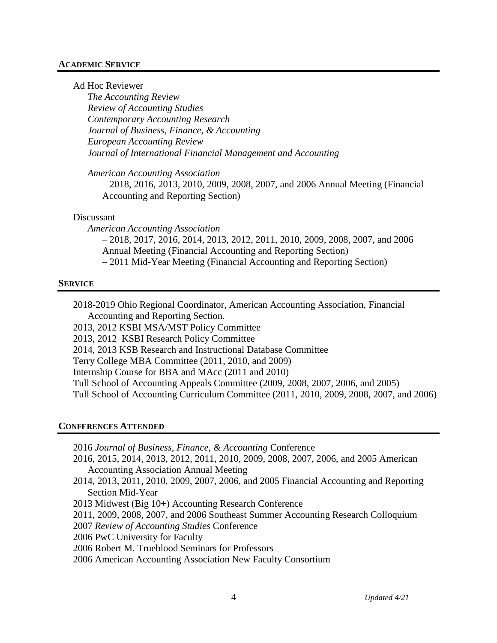### **ACADEMIC SERVICE**

Ad Hoc Reviewer

*The Accounting Review Review of Accounting Studies Contemporary Accounting Research Journal of Business, Finance, & Accounting European Accounting Review Journal of International Financial Management and Accounting*

*American Accounting Association* 

– 2018, 2016, 2013, 2010, 2009, 2008, 2007, and 2006 Annual Meeting (Financial Accounting and Reporting Section)

### Discussant

*American Accounting Association*  – 2018, 2017, 2016, 2014, 2013, 2012, 2011, 2010, 2009, 2008, 2007, and 2006 Annual Meeting (Financial Accounting and Reporting Section) – 2011 Mid-Year Meeting (Financial Accounting and Reporting Section)

### **SERVICE**

2018-2019 Ohio Regional Coordinator, American Accounting Association, Financial Accounting and Reporting Section.

2013, 2012 KSBI MSA/MST Policy Committee

2013, 2012 KSBI Research Policy Committee

2014, 2013 KSB Research and Instructional Database Committee

Terry College MBA Committee (2011, 2010, and 2009)

Internship Course for BBA and MAcc (2011 and 2010)

Tull School of Accounting Appeals Committee (2009, 2008, 2007, 2006, and 2005)

Tull School of Accounting Curriculum Committee (2011, 2010, 2009, 2008, 2007, and 2006)

### **CONFERENCES ATTENDED**

- 2016 *Journal of Business, Finance, & Accounting* Conference
- 2016, 2015, 2014, 2013, 2012, 2011, 2010, 2009, 2008, 2007, 2006, and 2005 American Accounting Association Annual Meeting
- 2014, 2013, 2011, 2010, 2009, 2007, 2006, and 2005 Financial Accounting and Reporting Section Mid-Year
- 2013 Midwest (Big 10+) Accounting Research Conference
- 2011, 2009, 2008, 2007, and 2006 Southeast Summer Accounting Research Colloquium
- 2007 *Review of Accounting Studies* Conference
- 2006 PwC University for Faculty
- 2006 Robert M. Trueblood Seminars for Professors
- 2006 American Accounting Association New Faculty Consortium